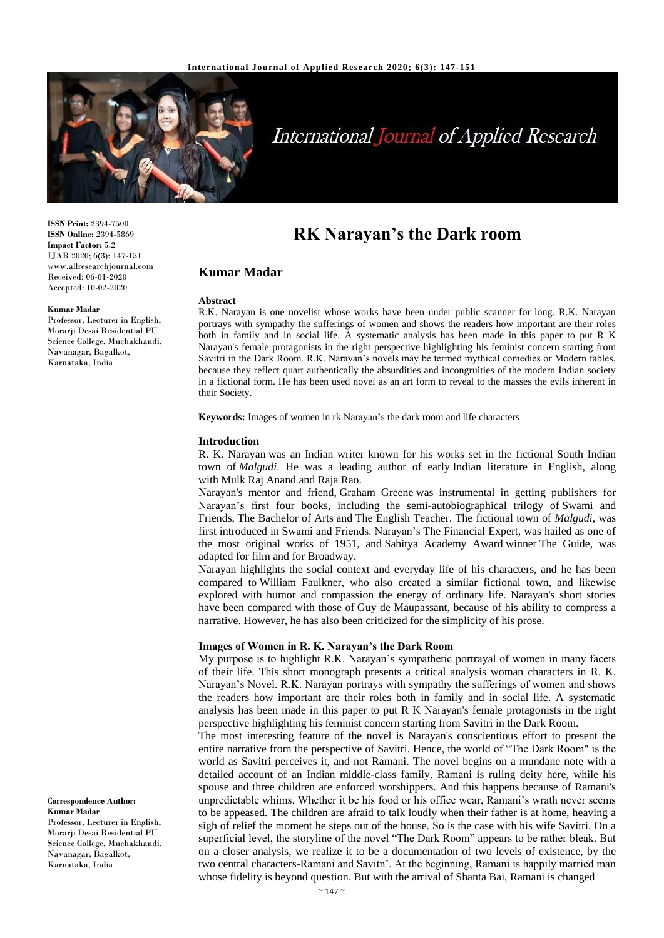

# **International Journal of Applied Research**

**ISSN Print:** 2394-7500 **ISSN Online:** 2394-5869 **Impact Factor:** 5.2 IJAR 2020; 6(3): 147-151 www.allresearchjournal.com Received: 06-01-2020 Accepted: 10-02-2020

#### **Kumar Madar**

Professor, Lecturer in English, Morarji Desai Residential PU Science College, Muchakhandi, Navanagar, Bagalkot, Karnataka, India

# **Correspondence Author: Kumar Madar**

Professor, Lecturer in English, Morarji Desai Residential PU Science College, Muchakhandi, Navanagar, Bagalkot, Karnataka, India

# **RK Narayan's the Dark room**

# **Kumar Madar**

#### **Abstract**

R.K. Narayan is one novelist whose works have been under public scanner for long. R.K. Narayan portrays with sympathy the sufferings of women and shows the readers how important are their roles both in family and in social life. A systematic analysis has been made in this paper to put R K Narayan's female protagonists in the right perspective highlighting his feminist concern starting from Savitri in the Dark Room. R.K. Narayan's novels may be termed mythical comedies or Modern fables, because they reflect quart authentically the absurdities and incongruities of the modern Indian society in a fictional form. He has been used novel as an art form to reveal to the masses the evils inherent in their Society.

**Keywords:** Images of women in rk Narayan's the dark room and life characters

#### **Introduction**

R. K. Narayan was an Indian writer known for his works set in the fictional South Indian town of *Malgudi*. He was a leading author of early Indian literature in English, along with Mulk Raj Anand and Raja Rao.

Narayan's mentor and friend, Graham Greene was instrumental in getting publishers for Narayan's first four books, including the semi-autobiographical trilogy of Swami and Friends, The Bachelor of Arts and The English Teacher. The fictional town of *Malgudi*, was first introduced in Swami and Friends. Narayan's The Financial Expert, was hailed as one of the most original works of 1951, and Sahitya Academy Award winner The Guide, was adapted for film and for Broadway.

Narayan highlights the social context and everyday life of his characters, and he has been compared to William Faulkner, who also created a similar fictional town, and likewise explored with humor and compassion the energy of ordinary life. Narayan's short stories have been compared with those of Guy de Maupassant, because of his ability to compress a narrative. However, he has also been criticized for the simplicity of his prose.

# **Images of Women in R. K. Narayan's the Dark Room**

My purpose is to highlight R.K. Narayan's sympathetic portrayal of women in many facets of their life. This short monograph presents a critical analysis woman characters in R. K. Narayan's Novel. R.K. Narayan portrays with sympathy the sufferings of women and shows the readers how important are their roles both in family and in social life. A systematic analysis has been made in this paper to put R K Narayan's female protagonists in the right perspective highlighting his feminist concern starting from Savitri in the Dark Room.

The most interesting feature of the novel is Narayan's conscientious effort to present the entire narrative from the perspective of Savitri. Hence, the world of "The Dark Room" is the world as Savitri perceives it, and not Ramani. The novel begins on a mundane note with a detailed account of an Indian middle-class family. Ramani is ruling deity here, while his spouse and three children are enforced worshippers. And this happens because of Ramani's unpredictable whims. Whether it be his food or his office wear, Ramani's wrath never seems to be appeased. The children are afraid to talk loudly when their father is at home, heaving a sigh of relief the moment he steps out of the house. So is the case with his wife Savitri. On a superficial level, the storyline of the novel "The Dark Room" appears to be rather bleak. But on a closer analysis, we realize it to be a documentation of two levels of existence, by the two central characters-Ramani and Savitn'. At the beginning, Ramani is happily married man whose fidelity is beyond question. But with the arrival of Shanta Bai, Ramani is changed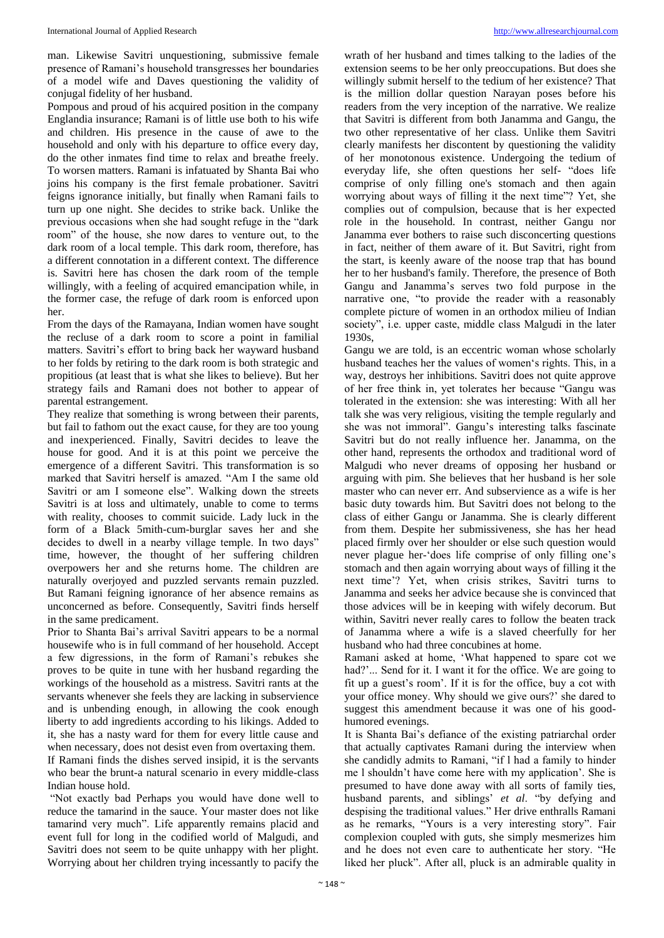man. Likewise Savitri unquestioning, submissive female presence of Ramani's household transgresses her boundaries of a model wife and Daves questioning the validity of conjugal fidelity of her husband.

Pompous and proud of his acquired position in the company Englandia insurance; Ramani is of little use both to his wife and children. His presence in the cause of awe to the household and only with his departure to office every day, do the other inmates find time to relax and breathe freely. To worsen matters. Ramani is infatuated by Shanta Bai who joins his company is the first female probationer. Savitri feigns ignorance initially, but finally when Ramani fails to turn up one night. She decides to strike back. Unlike the previous occasions when she had sought refuge in the "dark room" of the house, she now dares to venture out, to the dark room of a local temple. This dark room, therefore, has a different connotation in a different context. The difference is. Savitri here has chosen the dark room of the temple willingly, with a feeling of acquired emancipation while, in the former case, the refuge of dark room is enforced upon her.

From the days of the Ramayana, Indian women have sought the recluse of a dark room to score a point in familial matters. Savitri's effort to bring back her wayward husband to her folds by retiring to the dark room is both strategic and propitious (at least that is what she likes to believe). But her strategy fails and Ramani does not bother to appear of parental estrangement.

They realize that something is wrong between their parents, but fail to fathom out the exact cause, for they are too young and inexperienced. Finally, Savitri decides to leave the house for good. And it is at this point we perceive the emergence of a different Savitri. This transformation is so marked that Savitri herself is amazed. "Am I the same old Savitri or am I someone else". Walking down the streets Savitri is at loss and ultimately, unable to come to terms with reality, chooses to commit suicide. Lady luck in the form of a Black 5mith-cum-burglar saves her and she decides to dwell in a nearby village temple. In two days" time, however, the thought of her suffering children overpowers her and she returns home. The children are naturally overjoyed and puzzled servants remain puzzled. But Ramani feigning ignorance of her absence remains as unconcerned as before. Consequently, Savitri finds herself in the same predicament.

Prior to Shanta Bai's arrival Savitri appears to be a normal housewife who is in full command of her household. Accept a few digressions, in the form of Ramani's rebukes she proves to be quite in tune with her husband regarding the workings of the household as a mistress. Savitri rants at the servants whenever she feels they are lacking in subservience and is unbending enough, in allowing the cook enough liberty to add ingredients according to his likings. Added to it, she has a nasty ward for them for every little cause and when necessary, does not desist even from overtaxing them. If Ramani finds the dishes served insipid, it is the servants who bear the brunt-a natural scenario in every middle-class Indian house hold.

"Not exactly bad Perhaps you would have done well to reduce the tamarind in the sauce. Your master does not like tamarind very much". Life apparently remains placid and event full for long in the codified world of Malgudi, and Savitri does not seem to be quite unhappy with her plight. Worrying about her children trying incessantly to pacify the

wrath of her husband and times talking to the ladies of the extension seems to be her only preoccupations. But does she willingly submit herself to the tedium of her existence? That is the million dollar question Narayan poses before his readers from the very inception of the narrative. We realize that Savitri is different from both Janamma and Gangu, the two other representative of her class. Unlike them Savitri clearly manifests her discontent by questioning the validity of her monotonous existence. Undergoing the tedium of everyday life, she often questions her self- "does life comprise of only filling one's stomach and then again worrying about ways of filling it the next time"? Yet, she complies out of compulsion, because that is her expected role in the household. In contrast, neither Gangu nor Janamma ever bothers to raise such disconcerting questions in fact, neither of them aware of it. But Savitri, right from the start, is keenly aware of the noose trap that has bound her to her husband's family. Therefore, the presence of Both Gangu and Janamma's serves two fold purpose in the narrative one, "to provide the reader with a reasonably complete picture of women in an orthodox milieu of Indian society", i.e. upper caste, middle class Malgudi in the later 1930s,

Gangu we are told, is an eccentric woman whose scholarly husband teaches her the values of women's rights. This, in a way, destroys her inhibitions. Savitri does not quite approve of her free think in, yet tolerates her because "Gangu was tolerated in the extension: she was interesting: With all her talk she was very religious, visiting the temple regularly and she was not immoral". Gangu's interesting talks fascinate Savitri but do not really influence her. Janamma, on the other hand, represents the orthodox and traditional word of Malgudi who never dreams of opposing her husband or arguing with pim. She believes that her husband is her sole master who can never err. And subservience as a wife is her basic duty towards him. But Savitri does not belong to the class of either Gangu or Janamma. She is clearly different from them. Despite her submissiveness, she has her head placed firmly over her shoulder or else such question would never plague her-'does life comprise of only filling one's stomach and then again worrying about ways of filling it the next time'? Yet, when crisis strikes, Savitri turns to Janamma and seeks her advice because she is convinced that those advices will be in keeping with wifely decorum. But within, Savitri never really cares to follow the beaten track of Janamma where a wife is a slaved cheerfully for her husband who had three concubines at home.

Ramani asked at home, 'What happened to spare cot we had?'... Send for it. I want it for the office. We are going to fit up a guest's room'. If it is for the office, buy a cot with your office money. Why should we give ours?' she dared to suggest this amendment because it was one of his goodhumored evenings.

It is Shanta Bai's defiance of the existing patriarchal order that actually captivates Ramani during the interview when she candidly admits to Ramani, "if l had a family to hinder me l shouldn't have come here with my application'. She is presumed to have done away with all sorts of family ties, husband parents, and siblings' *et al*. "by defying and despising the traditional values." Her drive enthralls Ramani as he remarks, "Yours is a very interesting story". Fair complexion coupled with guts, she simply mesmerizes him and he does not even care to authenticate her story. "He liked her pluck". After all, pluck is an admirable quality in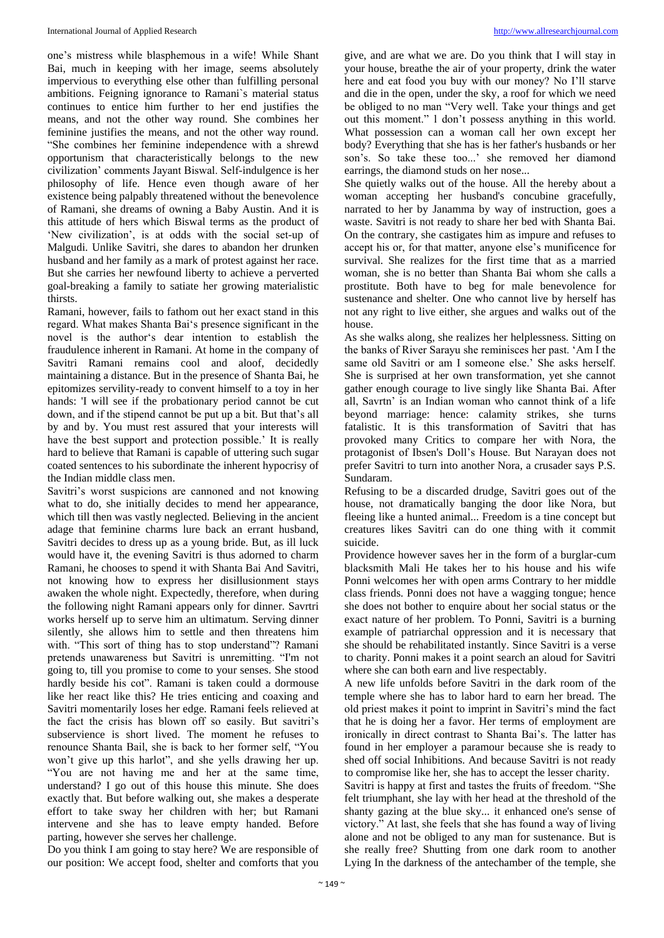one's mistress while blasphemous in a wife! While Shant Bai, much in keeping with her image, seems absolutely impervious to everything else other than fulfilling personal ambitions. Feigning ignorance to Ramani`s material status continues to entice him further to her end justifies the means, and not the other way round. She combines her feminine justifies the means, and not the other way round. "She combines her feminine independence with a shrewd opportunism that characteristically belongs to the new civilization' comments Jayant Biswal. Self-indulgence is her philosophy of life. Hence even though aware of her existence being palpably threatened without the benevolence of Ramani, she dreams of owning a Baby Austin. And it is this attitude of hers which Biswal terms as the product of 'New civilization', is at odds with the social set-up of Malgudi. Unlike Savitri, she dares to abandon her drunken husband and her family as a mark of protest against her race. But she carries her newfound liberty to achieve a perverted goal-breaking a family to satiate her growing materialistic thirsts.

Ramani, however, fails to fathom out her exact stand in this regard. What makes Shanta Bai's presence significant in the novel is the author's dear intention to establish the fraudulence inherent in Ramani. At home in the company of Savitri Ramani remains cool and aloof, decidedly maintaining a distance. But in the presence of Shanta Bai, he epitomizes servility-ready to convent himself to a toy in her hands: 'I will see if the probationary period cannot be cut down, and if the stipend cannot be put up a bit. But that's all by and by. You must rest assured that your interests will have the best support and protection possible.' It is really hard to believe that Ramani is capable of uttering such sugar coated sentences to his subordinate the inherent hypocrisy of the Indian middle class men.

Savitri's worst suspicions are cannoned and not knowing what to do, she initially decides to mend her appearance, which till then was vastly neglected. Believing in the ancient adage that feminine charms lure back an errant husband, Savitri decides to dress up as a young bride. But, as ill luck would have it, the evening Savitri is thus adorned to charm Ramani, he chooses to spend it with Shanta Bai And Savitri, not knowing how to express her disillusionment stays awaken the whole night. Expectedly, therefore, when during the following night Ramani appears only for dinner. Savrtri works herself up to serve him an ultimatum. Serving dinner silently, she allows him to settle and then threatens him with. "This sort of thing has to stop understand"? Ramani pretends unawareness but Savitri is unremitting. "I'm not going to, till you promise to come to your senses. She stood hardly beside his cot". Ramani is taken could a dormouse like her react like this? He tries enticing and coaxing and Savitri momentarily loses her edge. Ramani feels relieved at the fact the crisis has blown off so easily. But savitri's subservience is short lived. The moment he refuses to renounce Shanta Bail, she is back to her former self, "You won't give up this harlot", and she yells drawing her up. "You are not having me and her at the same time, understand? I go out of this house this minute. She does exactly that. But before walking out, she makes a desperate effort to take sway her children with her; but Ramani intervene and she has to leave empty handed. Before parting, however she serves her challenge.

Do you think I am going to stay here? We are responsible of our position: We accept food, shelter and comforts that you

give, and are what we are. Do you think that I will stay in your house, breathe the air of your property, drink the water here and eat food you buy with our money? No I'll starve and die in the open, under the sky, a roof for which we need be obliged to no man "Very well. Take your things and get out this moment." l don't possess anything in this world. What possession can a woman call her own except her body? Everything that she has is her father's husbands or her son's. So take these too...' she removed her diamond earrings, the diamond studs on her nose...

She quietly walks out of the house. All the hereby about a woman accepting her husband's concubine gracefully, narrated to her by Janamma by way of instruction, goes a waste. Savitri is not ready to share her bed with Shanta Bai. On the contrary, she castigates him as impure and refuses to accept his or, for that matter, anyone else's munificence for survival. She realizes for the first time that as a married woman, she is no better than Shanta Bai whom she calls a prostitute. Both have to beg for male benevolence for sustenance and shelter. One who cannot live by herself has not any right to live either, she argues and walks out of the house.

As she walks along, she realizes her helplessness. Sitting on the banks of River Sarayu she reminisces her past. 'Am I the same old Savitri or am I someone else.' She asks herself. She is surprised at her own transformation, yet she cannot gather enough courage to live singly like Shanta Bai. After all, Savrtn' is an Indian woman who cannot think of a life beyond marriage: hence: calamity strikes, she turns fatalistic. It is this transformation of Savitri that has provoked many Critics to compare her with Nora, the protagonist of Ibsen's Doll's House. But Narayan does not prefer Savitri to turn into another Nora, a crusader says P.S. Sundaram.

Refusing to be a discarded drudge, Savitri goes out of the house, not dramatically banging the door like Nora, but fleeing like a hunted animal... Freedom is a tine concept but creatures likes Savitri can do one thing with it commit suicide.

Providence however saves her in the form of a burglar-cum blacksmith Mali He takes her to his house and his wife Ponni welcomes her with open arms Contrary to her middle class friends. Ponni does not have a wagging tongue; hence she does not bother to enquire about her social status or the exact nature of her problem. To Ponni, Savitri is a burning example of patriarchal oppression and it is necessary that she should be rehabilitated instantly. Since Savitri is a verse to charity. Ponni makes it a point search an aloud for Savitri where she can both earn and live respectably.

A new life unfolds before Savitri in the dark room of the temple where she has to labor hard to earn her bread. The old priest makes it point to imprint in Savitri's mind the fact that he is doing her a favor. Her terms of employment are ironically in direct contrast to Shanta Bai's. The latter has found in her employer a paramour because she is ready to shed off social Inhibitions. And because Savitri is not ready to compromise like her, she has to accept the lesser charity.

Savitri is happy at first and tastes the fruits of freedom. "She felt triumphant, she lay with her head at the threshold of the shanty gazing at the blue sky... it enhanced one's sense of victory." At last, she feels that she has found a way of living alone and not be obliged to any man for sustenance. But is she really free? Shutting from one dark room to another Lying In the darkness of the antechamber of the temple, she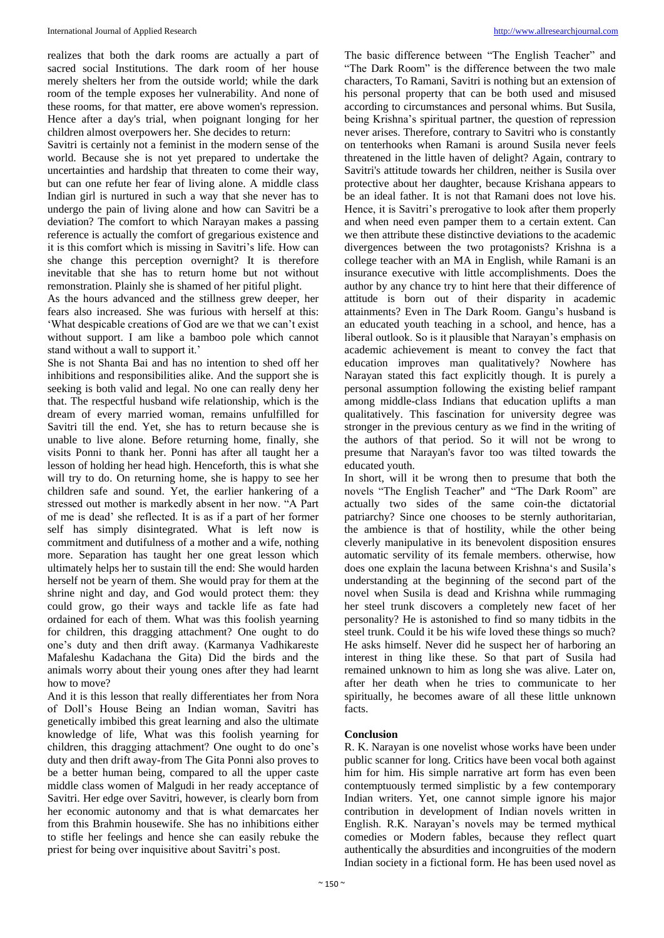realizes that both the dark rooms are actually a part of sacred social Institutions. The dark room of her house merely shelters her from the outside world; while the dark room of the temple exposes her vulnerability. And none of these rooms, for that matter, ere above women's repression. Hence after a day's trial, when poignant longing for her children almost overpowers her. She decides to return:

Savitri is certainly not a feminist in the modern sense of the world. Because she is not yet prepared to undertake the uncertainties and hardship that threaten to come their way, but can one refute her fear of living alone. A middle class Indian girl is nurtured in such a way that she never has to undergo the pain of living alone and how can Savitri be a deviation? The comfort to which Narayan makes a passing reference is actually the comfort of gregarious existence and it is this comfort which is missing in Savitri's life. How can she change this perception overnight? It is therefore inevitable that she has to return home but not without remonstration. Plainly she is shamed of her pitiful plight.

As the hours advanced and the stillness grew deeper, her fears also increased. She was furious with herself at this: 'What despicable creations of God are we that we can't exist without support. I am like a bamboo pole which cannot stand without a wall to support it.'

She is not Shanta Bai and has no intention to shed off her inhibitions and responsibilities alike. And the support she is seeking is both valid and legal. No one can really deny her that. The respectful husband wife relationship, which is the dream of every married woman, remains unfulfilled for Savitri till the end. Yet, she has to return because she is unable to live alone. Before returning home, finally, she visits Ponni to thank her. Ponni has after all taught her a lesson of holding her head high. Henceforth, this is what she will try to do. On returning home, she is happy to see her children safe and sound. Yet, the earlier hankering of a stressed out mother is markedly absent in her now. "A Part of me is dead' she reflected. It is as if a part of her former self has simply disintegrated. What is left now is commitment and dutifulness of a mother and a wife, nothing more. Separation has taught her one great lesson which ultimately helps her to sustain till the end: She would harden herself not be yearn of them. She would pray for them at the shrine night and day, and God would protect them: they could grow, go their ways and tackle life as fate had ordained for each of them. What was this foolish yearning for children, this dragging attachment? One ought to do one's duty and then drift away. (Karmanya Vadhikareste Mafaleshu Kadachana the Gita) Did the birds and the animals worry about their young ones after they had learnt how to move?

And it is this lesson that really differentiates her from Nora of Doll's House Being an Indian woman, Savitri has genetically imbibed this great learning and also the ultimate knowledge of life, What was this foolish yearning for children, this dragging attachment? One ought to do one's duty and then drift away-from The Gita Ponni also proves to be a better human being, compared to all the upper caste middle class women of Malgudi in her ready acceptance of Savitri. Her edge over Savitri, however, is clearly born from her economic autonomy and that is what demarcates her from this Brahmin housewife. She has no inhibitions either to stifle her feelings and hence she can easily rebuke the priest for being over inquisitive about Savitri's post.

The basic difference between "The English Teacher" and "The Dark Room" is the difference between the two male characters, To Ramani, Savitri is nothing but an extension of his personal property that can be both used and misused according to circumstances and personal whims. But Susila, being Krishna's spiritual partner, the question of repression never arises. Therefore, contrary to Savitri who is constantly on tenterhooks when Ramani is around Susila never feels threatened in the little haven of delight? Again, contrary to Savitri's attitude towards her children, neither is Susila over protective about her daughter, because Krishana appears to be an ideal father. It is not that Ramani does not love his. Hence, it is Savitri's prerogative to look after them properly and when need even pamper them to a certain extent. Can we then attribute these distinctive deviations to the academic divergences between the two protagonists? Krishna is a college teacher with an MA in English, while Ramani is an insurance executive with little accomplishments. Does the author by any chance try to hint here that their difference of attitude is born out of their disparity in academic attainments? Even in The Dark Room. Gangu's husband is an educated youth teaching in a school, and hence, has a liberal outlook. So is it plausible that Narayan's emphasis on academic achievement is meant to convey the fact that education improves man qualitatively? Nowhere has Narayan stated this fact explicitly though. It is purely a personal assumption following the existing belief rampant among middle-class Indians that education uplifts a man qualitatively. This fascination for university degree was stronger in the previous century as we find in the writing of the authors of that period. So it will not be wrong to presume that Narayan's favor too was tilted towards the educated youth.

In short, will it be wrong then to presume that both the novels "The English Teacher" and "The Dark Room" are actually two sides of the same coin-the dictatorial patriarchy? Since one chooses to be sternly authoritarian, the ambience is that of hostility, while the other being cleverly manipulative in its benevolent disposition ensures automatic servility of its female members. otherwise, how does one explain the lacuna between Krishna's and Susila's understanding at the beginning of the second part of the novel when Susila is dead and Krishna while rummaging her steel trunk discovers a completely new facet of her personality? He is astonished to find so many tidbits in the steel trunk. Could it be his wife loved these things so much? He asks himself. Never did he suspect her of harboring an interest in thing like these. So that part of Susila had remained unknown to him as long she was alive. Later on, after her death when he tries to communicate to her spiritually, he becomes aware of all these little unknown facts.

# **Conclusion**

R. K. Narayan is one novelist whose works have been under public scanner for long. Critics have been vocal both against him for him. His simple narrative art form has even been contemptuously termed simplistic by a few contemporary Indian writers. Yet, one cannot simple ignore his major contribution in development of Indian novels written in English. R.K. Narayan's novels may be termed mythical comedies or Modern fables, because they reflect quart authentically the absurdities and incongruities of the modern Indian society in a fictional form. He has been used novel as